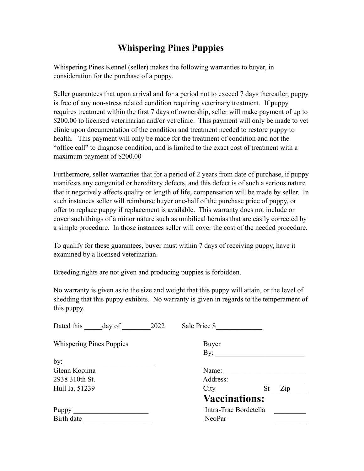## **Whispering Pines Puppies**

Whispering Pines Kennel (seller) makes the following warranties to buyer, in consideration for the purchase of a puppy.

Seller guarantees that upon arrival and for a period not to exceed 7 days thereafter, puppy is free of any non-stress related condition requiring veterinary treatment. If puppy requires treatment within the first 7 days of ownership, seller will make payment of up to \$200.00 to licensed veterinarian and/or vet clinic. This payment will only be made to vet clinic upon documentation of the condition and treatment needed to restore puppy to health. This payment will only be made for the treatment of condition and not the "office call" to diagnose condition, and is limited to the exact cost of treatment with a maximum payment of \$200.00

Furthermore, seller warranties that for a period of 2 years from date of purchase, if puppy manifests any congenital or hereditary defects, and this defect is of such a serious nature that it negatively affects quality or length of life, compensation will be made by seller. In such instances seller will reimburse buyer one-half of the purchase price of puppy, or offer to replace puppy if replacement is available. This warranty does not include or cover such things of a minor nature such as umbilical hernias that are easily corrected by a simple procedure. In those instances seller will cover the cost of the needed procedure.

To qualify for these guarantees, buyer must within 7 days of receiving puppy, have it examined by a licensed veterinarian.

Breeding rights are not given and producing puppies is forbidden.

No warranty is given as to the size and weight that this puppy will attain, or the level of shedding that this puppy exhibits. No warranty is given in regards to the temperament of this puppy.

| Dated this<br>day of            | 2022                  | Sale Price \$        |     |
|---------------------------------|-----------------------|----------------------|-----|
| <b>Whispering Pines Puppies</b> |                       | <b>Buyer</b>         |     |
|                                 |                       | $\overline{By}$ :    |     |
|                                 |                       |                      |     |
| Glenn Kooima                    |                       | Name:                |     |
| 2938 310th St.                  |                       | Address:             |     |
| Hull Ia. 51239                  |                       | City St              | Zip |
|                                 |                       | <b>Vaccinations:</b> |     |
| <b>Puppy</b>                    | Intra-Trac Bordetella |                      |     |
| Birth date                      |                       | NeoPar               |     |